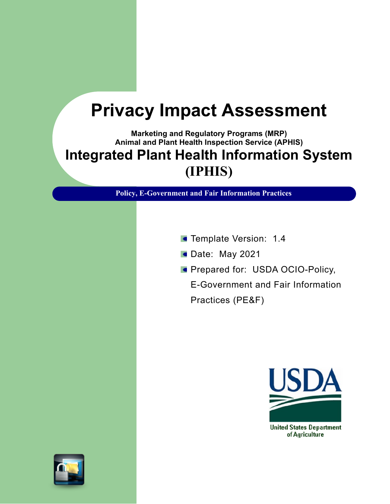## **Privacy Impact Assessment**

**Marketing and Regulatory Programs (MRP) Animal and Plant Health Inspection Service (APHIS) Integrated Plant Health Information System (IPHIS)**

**Policy, E-Government and Fair Information Practices**

- **Template Version: 1.4**
- Date: May 2021
- **Prepared for: USDA OCIO-Policy,**

E-Government and Fair Information Practices (PE&F)

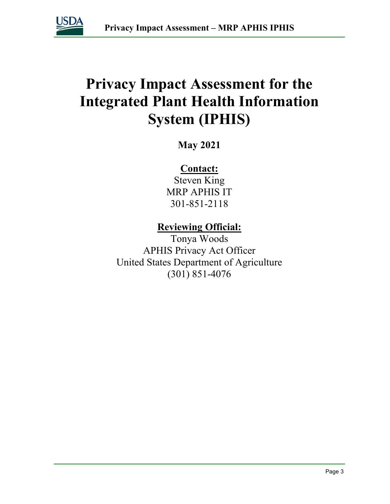

## **Privacy Impact Assessment for the Integrated Plant Health Information System (IPHIS)**

**May 2021**

### **Contact:**

Steven King MRP APHIS IT 301-851-2118

### **Reviewing Official:**

Tonya Woods APHIS Privacy Act Officer United States Department of Agriculture (301) 851-4076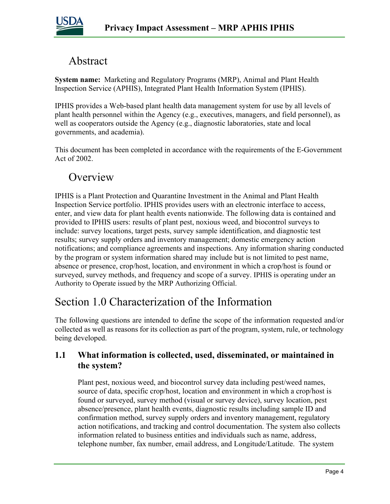

### Abstract

**System name:** Marketing and Regulatory Programs (MRP), Animal and Plant Health Inspection Service (APHIS), Integrated Plant Health Information System (IPHIS).

IPHIS provides a Web-based plant health data management system for use by all levels of plant health personnel within the Agency (e.g., executives, managers, and field personnel), as well as cooperators outside the Agency (e.g., diagnostic laboratories, state and local governments, and academia).

This document has been completed in accordance with the requirements of the E-Government Act of 2002.

### **Overview**

IPHIS is a Plant Protection and Quarantine Investment in the Animal and Plant Health Inspection Service portfolio. IPHIS provides users with an electronic interface to access, enter, and view data for plant health events nationwide. The following data is contained and provided to IPHIS users: results of plant pest, noxious weed, and biocontrol surveys to include: survey locations, target pests, survey sample identification, and diagnostic test results; survey supply orders and inventory management; domestic emergency action notifications; and compliance agreements and inspections. Any information sharing conducted by the program or system information shared may include but is not limited to pest name, absence or presence, crop/host, location, and environment in which a crop/host is found or surveyed, survey methods, and frequency and scope of a survey. IPHIS is operating under an Authority to Operate issued by the MRP Authorizing Official.

### Section 1.0 Characterization of the Information

The following questions are intended to define the scope of the information requested and/or collected as well as reasons for its collection as part of the program, system, rule, or technology being developed.

### **1.1 What information is collected, used, disseminated, or maintained in the system?**

Plant pest, noxious weed, and biocontrol survey data including pest/weed names, source of data, specific crop/host, location and environment in which a crop/host is found or surveyed, survey method (visual or survey device), survey location, pest absence/presence, plant health events, diagnostic results including sample ID and confirmation method, survey supply orders and inventory management, regulatory action notifications, and tracking and control documentation. The system also collects information related to business entities and individuals such as name, address, telephone number, fax number, email address, and Longitude/Latitude. The system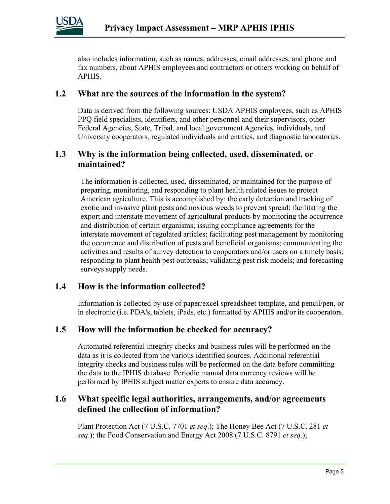

also includes information, such as names, addresses, email addresses, and phone and fax numbers, about APHIS employees and contractors or others working on behalf of APHIS.

#### **1.2 What are the sources of the information in the system?**

Data is derived from the following sources: USDA APHIS employees, such as APHIS PPQ field specialists, identifiers, and other personnel and their supervisors, other Federal Agencies, State, Tribal, and local government Agencies, individuals, and University cooperators, regulated individuals and entities, and diagnostic laboratories.

#### **1.3 Why is the information being collected, used, disseminated, or maintained?**

The information is collected, used, disseminated, or maintained for the purpose of preparing, monitoring, and responding to plant health related issues to protect American agriculture. This is accomplished by: the early detection and tracking of exotic and invasive plant pests and noxious weeds to prevent spread; facilitating the export and interstate movement of agricultural products by monitoring the occurrence and distribution of certain organisms; issuing compliance agreements for the interstate movement of regulated articles; facilitating pest management by monitoring the occurrence and distribution of pests and beneficial organisms; communicating the activities and results of survey detection to cooperators and/or users on a timely basis; responding to plant health pest outbreaks; validating pest risk models; and forecasting surveys supply needs.

#### **1.4 How is the information collected?**

Information is collected by use of paper/excel spreadsheet template, and pencil/pen, or in electronic (i.e. PDA's, tablets, iPads, etc.) formatted by APHIS and/or its cooperators.

### **1.5 How will the information be checked for accuracy?**

Automated referential integrity checks and business rules will be performed on the data as it is collected from the various identified sources. Additional referential integrity checks and business rules will be performed on the data before committing the data to the IPHIS database. Periodic manual data currency reviews will be performed by IPHIS subject matter experts to ensure data accuracy.

### **1.6 What specific legal authorities, arrangements, and/or agreements defined the collection of information?**

Plant Protection Act (7 U.S.C. 7701 *et seq*.); The Honey Bee Act (7 U.S.C. 281 *et seq*.); the Food Conservation and Energy Act 2008 (7 U.S.C. 8791 *et seq*.);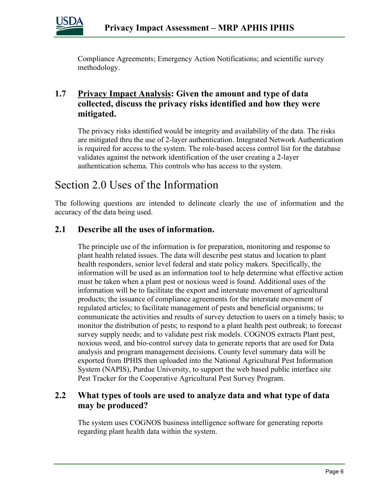

Compliance Agreements; Emergency Action Notifications; and scientific survey methodology.

### **1.7 Privacy Impact Analysis: Given the amount and type of data collected, discuss the privacy risks identified and how they were mitigated.**

The privacy risks identified would be integrity and availability of the data. The risks are mitigated thru the use of 2-layer authentication. Integrated Network Authentication is required for access to the system. The role-based access control list for the database validates against the network identification of the user creating a 2-layer authentication schema. This controls who has access to the system.

### Section 2.0 Uses of the Information

The following questions are intended to delineate clearly the use of information and the accuracy of the data being used.

### **2.1 Describe all the uses of information.**

The principle use of the information is for preparation, monitoring and response to plant health related issues. The data will describe pest status and location to plant health responders, senior level federal and state policy makers. Specifically, the information will be used as an information tool to help determine what effective action must be taken when a plant pest or noxious weed is found. Additional uses of the information will be to facilitate the export and interstate movement of agricultural products; the issuance of compliance agreements for the interstate movement of regulated articles; to facilitate management of pests and beneficial organisms; to communicate the activities and results of survey detection to users on a timely basis; to monitor the distribution of pests; to respond to a plant health pest outbreak; to forecast survey supply needs; and to validate pest risk models. COGNOS extracts Plant pest, noxious weed, and bio-control survey data to generate reports that are used for Data analysis and program management decisions. County level summary data will be exported from IPHIS then uploaded into the National Agricultural Pest Information System (NAPIS), Purdue University, to support the web based public interface site Pest Tracker for the Cooperative Agricultural Pest Survey Program.

### **2.2 What types of tools are used to analyze data and what type of data may be produced?**

The system uses COGNOS business intelligence software for generating reports regarding plant health data within the system.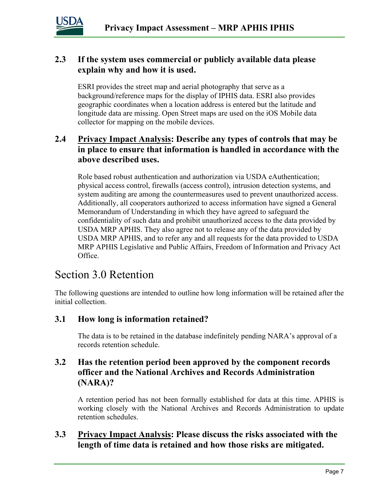

### **2.3 If the system uses commercial or publicly available data please explain why and how it is used.**

ESRI provides the street map and aerial photography that serve as a background/reference maps for the display of IPHIS data. ESRI also provides geographic coordinates when a location address is entered but the latitude and longitude data are missing. Open Street maps are used on the iOS Mobile data collector for mapping on the mobile devices.

### **2.4 Privacy Impact Analysis: Describe any types of controls that may be in place to ensure that information is handled in accordance with the above described uses.**

Role based robust authentication and authorization via USDA eAuthentication; physical access control, firewalls (access control), intrusion detection systems, and system auditing are among the countermeasures used to prevent unauthorized access. Additionally, all cooperators authorized to access information have signed a General Memorandum of Understanding in which they have agreed to safeguard the confidentiality of such data and prohibit unauthorized access to the data provided by USDA MRP APHIS. They also agree not to release any of the data provided by USDA MRP APHIS, and to refer any and all requests for the data provided to USDA MRP APHIS Legislative and Public Affairs, Freedom of Information and Privacy Act Office.

### Section 3.0 Retention

The following questions are intended to outline how long information will be retained after the initial collection.

### **3.1 How long is information retained?**

The data is to be retained in the database indefinitely pending NARA's approval of a records retention schedule.

### **3.2 Has the retention period been approved by the component records officer and the National Archives and Records Administration (NARA)?**

A retention period has not been formally established for data at this time. APHIS is working closely with the National Archives and Records Administration to update retention schedules.

#### **3.3 Privacy Impact Analysis: Please discuss the risks associated with the length of time data is retained and how those risks are mitigated.**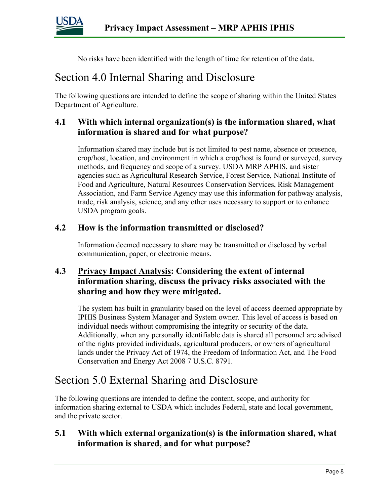

No risks have been identified with the length of time for retention of the data*.* 

### Section 4.0 Internal Sharing and Disclosure

The following questions are intended to define the scope of sharing within the United States Department of Agriculture.

### **4.1 With which internal organization(s) is the information shared, what information is shared and for what purpose?**

Information shared may include but is not limited to pest name, absence or presence, crop/host, location, and environment in which a crop/host is found or surveyed, survey methods, and frequency and scope of a survey. USDA MRP APHIS, and sister agencies such as Agricultural Research Service, Forest Service, National Institute of Food and Agriculture, Natural Resources Conservation Services, Risk Management Association, and Farm Service Agency may use this information for pathway analysis, trade, risk analysis, science, and any other uses necessary to support or to enhance USDA program goals.

#### **4.2 How is the information transmitted or disclosed?**

Information deemed necessary to share may be transmitted or disclosed by verbal communication, paper, or electronic means.

### **4.3 Privacy Impact Analysis: Considering the extent of internal information sharing, discuss the privacy risks associated with the sharing and how they were mitigated.**

The system has built in granularity based on the level of access deemed appropriate by IPHIS Business System Manager and System owner. This level of access is based on individual needs without compromising the integrity or security of the data. Additionally, when any personally identifiable data is shared all personnel are advised of the rights provided individuals, agricultural producers, or owners of agricultural lands under the Privacy Act of 1974, the Freedom of Information Act, and The Food Conservation and Energy Act 2008 7 U.S.C. 8791.

### Section 5.0 External Sharing and Disclosure

The following questions are intended to define the content, scope, and authority for information sharing external to USDA which includes Federal, state and local government, and the private sector.

#### **5.1 With which external organization(s) is the information shared, what information is shared, and for what purpose?**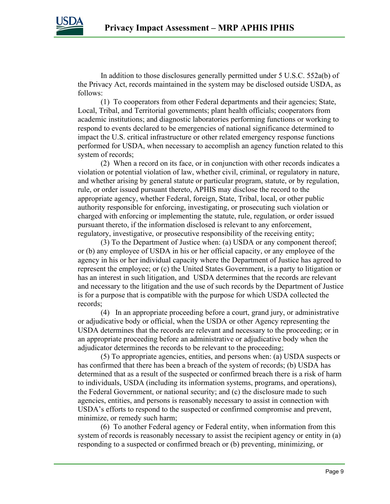

In addition to those disclosures generally permitted under 5 U.S.C. 552a(b) of the Privacy Act, records maintained in the system may be disclosed outside USDA, as follows:

(1) To cooperators from other Federal departments and their agencies; State, Local, Tribal, and Territorial governments; plant health officials; cooperators from academic institutions; and diagnostic laboratories performing functions or working to respond to events declared to be emergencies of national significance determined to impact the U.S. critical infrastructure or other related emergency response functions performed for USDA, when necessary to accomplish an agency function related to this system of records;

(2) When a record on its face, or in conjunction with other records indicates a violation or potential violation of law, whether civil, criminal, or regulatory in nature, and whether arising by general statute or particular program, statute, or by regulation, rule, or order issued pursuant thereto, APHIS may disclose the record to the appropriate agency, whether Federal, foreign, State, Tribal, local, or other public authority responsible for enforcing, investigating, or prosecuting such violation or charged with enforcing or implementing the statute, rule, regulation, or order issued pursuant thereto, if the information disclosed is relevant to any enforcement, regulatory, investigative, or prosecutive responsibility of the receiving entity;

(3) To the Department of Justice when: (a) USDA or any component thereof; or (b) any employee of USDA in his or her official capacity, or any employee of the agency in his or her individual capacity where the Department of Justice has agreed to represent the employee; or (c) the United States Government, is a party to litigation or has an interest in such litigation, and USDA determines that the records are relevant and necessary to the litigation and the use of such records by the Department of Justice is for a purpose that is compatible with the purpose for which USDA collected the records;

(4) In an appropriate proceeding before a court, grand jury, or administrative or adjudicative body or official, when the USDA or other Agency representing the USDA determines that the records are relevant and necessary to the proceeding; or in an appropriate proceeding before an administrative or adjudicative body when the adjudicator determines the records to be relevant to the proceeding;

(5) To appropriate agencies, entities, and persons when: (a) USDA suspects or has confirmed that there has been a breach of the system of records; (b) USDA has determined that as a result of the suspected or confirmed breach there is a risk of harm to individuals, USDA (including its information systems, programs, and operations), the Federal Government, or national security; and (c) the disclosure made to such agencies, entities, and persons is reasonably necessary to assist in connection with USDA's efforts to respond to the suspected or confirmed compromise and prevent, minimize, or remedy such harm;

(6) To another Federal agency or Federal entity, when information from this system of records is reasonably necessary to assist the recipient agency or entity in (a) responding to a suspected or confirmed breach or (b) preventing, minimizing, or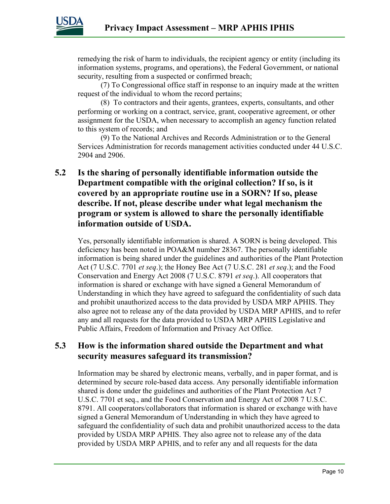

remedying the risk of harm to individuals, the recipient agency or entity (including its information systems, programs, and operations), the Federal Government, or national security, resulting from a suspected or confirmed breach;

(7) To Congressional office staff in response to an inquiry made at the written request of the individual to whom the record pertains;

(8) To contractors and their agents, grantees, experts, consultants, and other performing or working on a contract, service, grant, cooperative agreement, or other assignment for the USDA, when necessary to accomplish an agency function related to this system of records; and

(9) To the National Archives and Records Administration or to the General Services Administration for records management activities conducted under 44 U.S.C. 2904 and 2906.

### **5.2 Is the sharing of personally identifiable information outside the Department compatible with the original collection? If so, is it covered by an appropriate routine use in a SORN? If so, please describe. If not, please describe under what legal mechanism the program or system is allowed to share the personally identifiable information outside of USDA.**

Yes, personally identifiable information is shared. A SORN is being developed. This deficiency has been noted in POA&M number 28367. The personally identifiable information is being shared under the guidelines and authorities of the Plant Protection Act (7 U.S.C. 7701 *et seq*.); the Honey Bee Act (7 U.S.C. 281 *et seq*.); and the Food Conservation and Energy Act 2008 (7 U.S.C. 8791 *et seq*.). All cooperators that information is shared or exchange with have signed a General Memorandum of Understanding in which they have agreed to safeguard the confidentiality of such data and prohibit unauthorized access to the data provided by USDA MRP APHIS. They also agree not to release any of the data provided by USDA MRP APHIS, and to refer any and all requests for the data provided to USDA MRP APHIS Legislative and Public Affairs, Freedom of Information and Privacy Act Office.

### **5.3 How is the information shared outside the Department and what security measures safeguard its transmission?**

Information may be shared by electronic means, verbally, and in paper format, and is determined by secure role-based data access. Any personally identifiable information shared is done under the guidelines and authorities of the Plant Protection Act 7 U.S.C. 7701 et seq., and the Food Conservation and Energy Act of 2008 7 U.S.C. 8791. All cooperators/collaborators that information is shared or exchange with have signed a General Memorandum of Understanding in which they have agreed to safeguard the confidentiality of such data and prohibit unauthorized access to the data provided by USDA MRP APHIS. They also agree not to release any of the data provided by USDA MRP APHIS, and to refer any and all requests for the data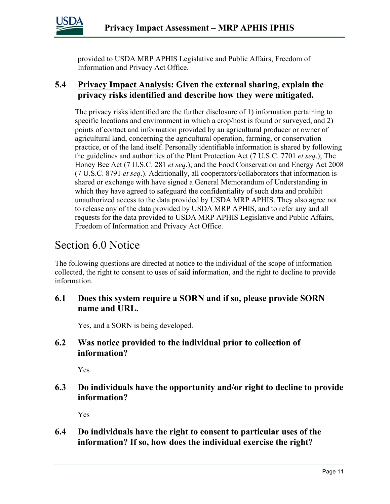

provided to USDA MRP APHIS Legislative and Public Affairs, Freedom of Information and Privacy Act Office.

### **5.4 Privacy Impact Analysis: Given the external sharing, explain the privacy risks identified and describe how they were mitigated.**

The privacy risks identified are the further disclosure of 1) information pertaining to specific locations and environment in which a crop/host is found or surveyed, and 2) points of contact and information provided by an agricultural producer or owner of agricultural land, concerning the agricultural operation, farming, or conservation practice, or of the land itself. Personally identifiable information is shared by following the guidelines and authorities of the Plant Protection Act (7 U.S.C. 7701 *et seq*.); The Honey Bee Act (7 U.S.C. 281 *et seq*.); and the Food Conservation and Energy Act 2008 (7 U.S.C. 8791 *et seq*.). Additionally, all cooperators/collaborators that information is shared or exchange with have signed a General Memorandum of Understanding in which they have agreed to safeguard the confidentiality of such data and prohibit unauthorized access to the data provided by USDA MRP APHIS. They also agree not to release any of the data provided by USDA MRP APHIS, and to refer any and all requests for the data provided to USDA MRP APHIS Legislative and Public Affairs, Freedom of Information and Privacy Act Office.

### Section 6.0 Notice

The following questions are directed at notice to the individual of the scope of information collected, the right to consent to uses of said information, and the right to decline to provide information.

### **6.1 Does this system require a SORN and if so, please provide SORN name and URL.**

Yes, and a SORN is being developed.

### **6.2 Was notice provided to the individual prior to collection of information?**

Yes

### **6.3 Do individuals have the opportunity and/or right to decline to provide information?**

Yes

### **6.4 Do individuals have the right to consent to particular uses of the information? If so, how does the individual exercise the right?**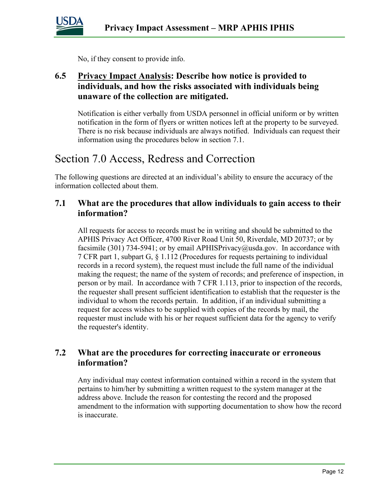

No, if they consent to provide info.

### **6.5 Privacy Impact Analysis: Describe how notice is provided to individuals, and how the risks associated with individuals being unaware of the collection are mitigated.**

Notification is either verbally from USDA personnel in official uniform or by written notification in the form of flyers or written notices left at the property to be surveyed. There is no risk because individuals are always notified. Individuals can request their information using the procedures below in section 7.1.

### Section 7.0 Access, Redress and Correction

The following questions are directed at an individual's ability to ensure the accuracy of the information collected about them.

#### **7.1 What are the procedures that allow individuals to gain access to their information?**

All requests for access to records must be in writing and should be submitted to the APHIS Privacy Act Officer, 4700 River Road Unit 50, Riverdale, MD 20737; or by facsimile (301) 734-5941; or by email APHISPrivacy@usda.gov. In accordance with 7 CFR part 1, subpart G, § 1.112 (Procedures for requests pertaining to individual records in a record system), the request must include the full name of the individual making the request; the name of the system of records; and preference of inspection, in person or by mail. In accordance with 7 CFR 1.113, prior to inspection of the records, the requester shall present sufficient identification to establish that the requester is the individual to whom the records pertain. In addition, if an individual submitting a request for access wishes to be supplied with copies of the records by mail, the requester must include with his or her request sufficient data for the agency to verify the requester's identity.

#### **7.2 What are the procedures for correcting inaccurate or erroneous information?**

Any individual may contest information contained within a record in the system that pertains to him/her by submitting a written request to the system manager at the address above. Include the reason for contesting the record and the proposed amendment to the information with supporting documentation to show how the record is inaccurate.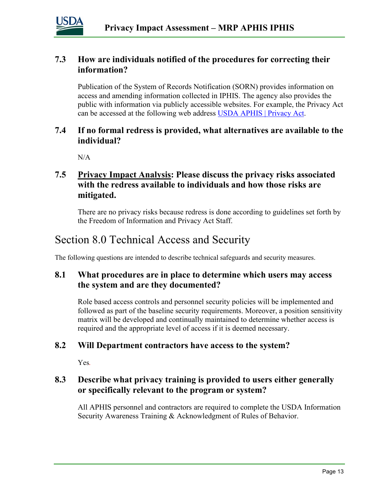

### **7.3 How are individuals notified of the procedures for correcting their information?**

Publication of the System of Records Notification (SORN) provides information on access and amending information collected in IPHIS. The agency also provides the public with information via publicly accessible websites. For example, the Privacy Act can be accessed at the following web address [USDA APHIS | Privacy Act.](https://www.aphis.usda.gov/aphis/resources/lawsandregs/privacy-act)

#### **7.4 If no formal redress is provided, what alternatives are available to the individual?**

 $N/A$ 

### **7.5 Privacy Impact Analysis: Please discuss the privacy risks associated with the redress available to individuals and how those risks are mitigated.**

There are no privacy risks because redress is done according to guidelines set forth by the Freedom of Information and Privacy Act Staff.

### Section 8.0 Technical Access and Security

The following questions are intended to describe technical safeguards and security measures.

### **8.1 What procedures are in place to determine which users may access the system and are they documented?**

Role based access controls and personnel security policies will be implemented and followed as part of the baseline security requirements. Moreover, a position sensitivity matrix will be developed and continually maintained to determine whether access is required and the appropriate level of access if it is deemed necessary.

#### **8.2 Will Department contractors have access to the system?**

Yes*.*

### **8.3 Describe what privacy training is provided to users either generally or specifically relevant to the program or system?**

All APHIS personnel and contractors are required to complete the USDA Information Security Awareness Training & Acknowledgment of Rules of Behavior.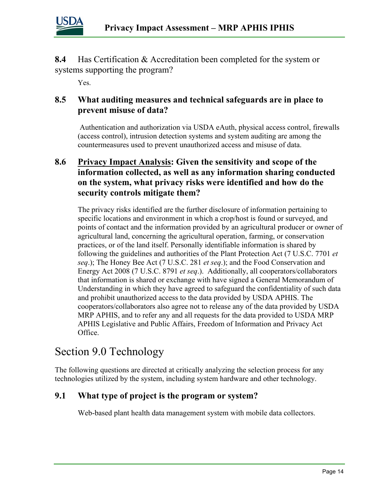

**8.4** Has Certification & Accreditation been completed for the system or systems supporting the program?

Yes.

### **8.5 What auditing measures and technical safeguards are in place to prevent misuse of data?**

Authentication and authorization via USDA eAuth, physical access control, firewalls (access control), intrusion detection systems and system auditing are among the countermeasures used to prevent unauthorized access and misuse of data.

### **8.6 Privacy Impact Analysis: Given the sensitivity and scope of the information collected, as well as any information sharing conducted on the system, what privacy risks were identified and how do the security controls mitigate them?**

The privacy risks identified are the further disclosure of information pertaining to specific locations and environment in which a crop/host is found or surveyed, and points of contact and the information provided by an agricultural producer or owner of agricultural land, concerning the agricultural operation, farming, or conservation practices, or of the land itself. Personally identifiable information is shared by following the guidelines and authorities of the Plant Protection Act (7 U.S.C. 7701 *et seq*.); The Honey Bee Act (7 U.S.C. 281 *et seq*.); and the Food Conservation and Energy Act 2008 (7 U.S.C. 8791 *et seq*.). Additionally, all cooperators/collaborators that information is shared or exchange with have signed a General Memorandum of Understanding in which they have agreed to safeguard the confidentiality of such data and prohibit unauthorized access to the data provided by USDA APHIS. The cooperators/collaborators also agree not to release any of the data provided by USDA MRP APHIS, and to refer any and all requests for the data provided to USDA MRP APHIS Legislative and Public Affairs, Freedom of Information and Privacy Act Office.

### Section 9.0 Technology

The following questions are directed at critically analyzing the selection process for any technologies utilized by the system, including system hardware and other technology.

### **9.1 What type of project is the program or system?**

Web-based plant health data management system with mobile data collectors.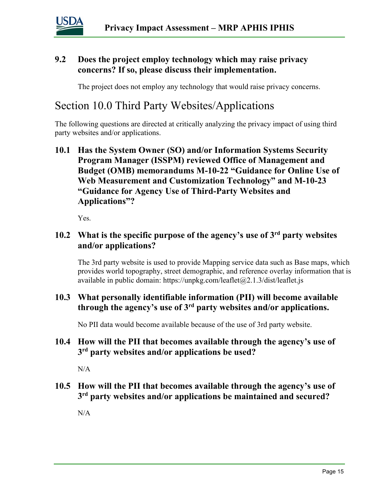

### **9.2 Does the project employ technology which may raise privacy concerns? If so, please discuss their implementation.**

The project does not employ any technology that would raise privacy concerns.

### Section 10.0 Third Party Websites/Applications

The following questions are directed at critically analyzing the privacy impact of using third party websites and/or applications.

**10.1 Has the System Owner (SO) and/or Information Systems Security Program Manager (ISSPM) reviewed Office of Management and Budget (OMB) memorandums M-10-22 "Guidance for Online Use of Web Measurement and Customization Technology" and M-10-23 "Guidance for Agency Use of Third-Party Websites and Applications"?**

Yes.

### **10.2 What is the specific purpose of the agency's use of 3rd party websites and/or applications?**

The 3rd party website is used to provide Mapping service data such as Base maps, which provides world topography, street demographic, and reference overlay information that is available in public domain: https://unpkg.com/leaflet $(a)$ 2.1.3/dist/leaflet.js

### **10.3 What personally identifiable information (PII) will become available through the agency's use of 3rd party websites and/or applications.**

No PII data would become available because of the use of 3rd party website.

#### **10.4 How will the PII that becomes available through the agency's use of 3rd party websites and/or applications be used?**

N/A

#### **10.5 How will the PII that becomes available through the agency's use of 3rd party websites and/or applications be maintained and secured?**

N/A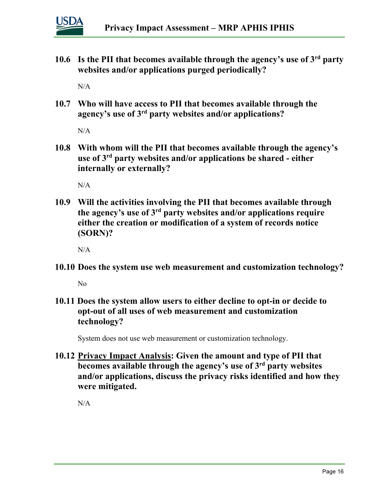

**10.6 Is the PII that becomes available through the agency's use of 3rd party websites and/or applications purged periodically?** 

N/A

**10.7 Who will have access to PII that becomes available through the agency's use of 3rd party websites and/or applications?**

 $N/A$ 

**10.8 With whom will the PII that becomes available through the agency's use of 3rd party websites and/or applications be shared - either internally or externally?**

 $N/A$ 

**10.9 Will the activities involving the PII that becomes available through the agency's use of 3rd party websites and/or applications require either the creation or modification of a system of records notice (SORN)?**

N/A

**10.10 Does the system use web measurement and customization technology?**

No

**10.11 Does the system allow users to either decline to opt-in or decide to opt-out of all uses of web measurement and customization technology?**

System does not use web measurement or customization technology.

**10.12 Privacy Impact Analysis: Given the amount and type of PII that becomes available through the agency's use of 3rd party websites and/or applications, discuss the privacy risks identified and how they were mitigated.** 

 $N/A$